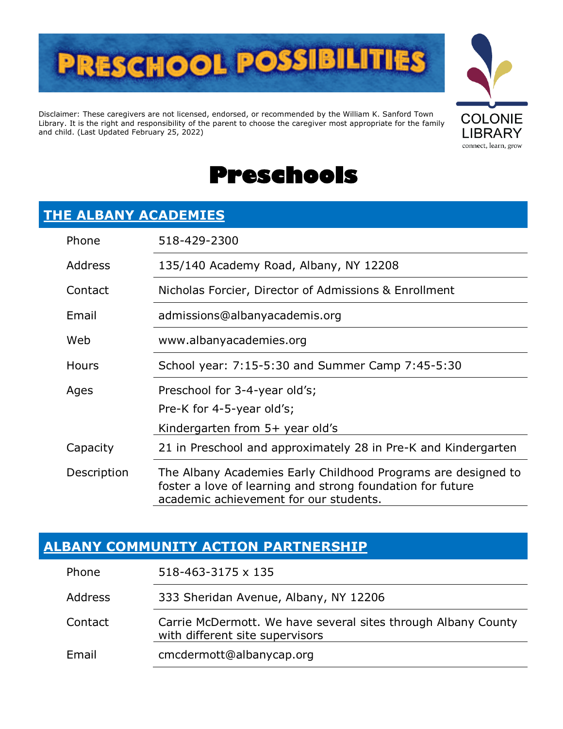

Disclaimer: These caregivers are not licensed, endorsed, or recommended by the William K. Sanford Town Library. It is the right and responsibility of the parent to choose the caregiver most appropriate for the family and child. (Last Updated February 25, 2022)





#### **[THE ALBANY ACADEMIES](https://www.albanyacademies.org/)**

| Phone        | 518-429-2300                                                                                                                                                          |
|--------------|-----------------------------------------------------------------------------------------------------------------------------------------------------------------------|
| Address      | 135/140 Academy Road, Albany, NY 12208                                                                                                                                |
| Contact      | Nicholas Forcier, Director of Admissions & Enrollment                                                                                                                 |
| Email        | admissions@albanyacademis.org                                                                                                                                         |
| Web          | www.albanyacademies.org                                                                                                                                               |
| <b>Hours</b> | School year: 7:15-5:30 and Summer Camp 7:45-5:30                                                                                                                      |
| Ages         | Preschool for 3-4-year old's;                                                                                                                                         |
|              | Pre-K for 4-5-year old's;                                                                                                                                             |
|              | Kindergarten from 5+ year old's                                                                                                                                       |
| Capacity     | 21 in Preschool and approximately 28 in Pre-K and Kindergarten                                                                                                        |
| Description  | The Albany Academies Early Childhood Programs are designed to<br>foster a love of learning and strong foundation for future<br>academic achievement for our students. |

#### **[ALBANY COMMUNITY ACTION PARTNERSHIP](https://www.albanycap.org/)**

| Phone          | 518-463-3175 x 135                                                                               |
|----------------|--------------------------------------------------------------------------------------------------|
| <b>Address</b> | 333 Sheridan Avenue, Albany, NY 12206                                                            |
| Contact        | Carrie McDermott. We have several sites through Albany County<br>with different site supervisors |
| Email          | cmcdermott@albanycap.org                                                                         |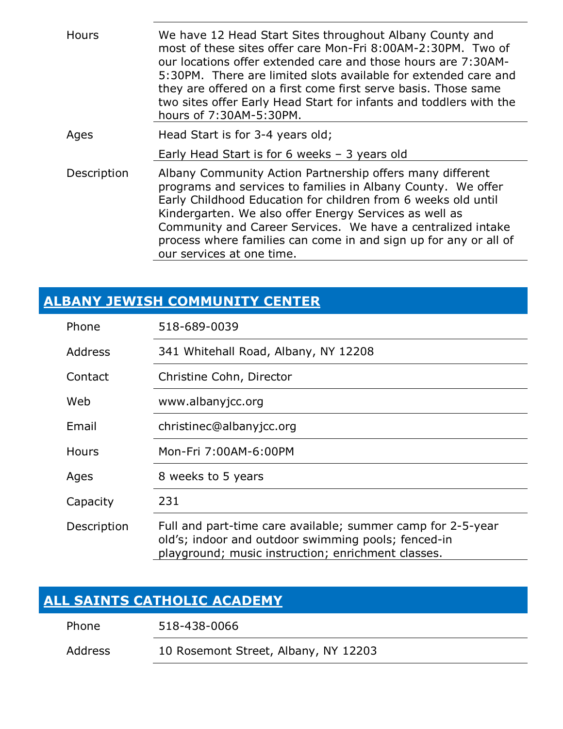| Hours       | We have 12 Head Start Sites throughout Albany County and<br>most of these sites offer care Mon-Fri 8:00AM-2:30PM. Two of<br>our locations offer extended care and those hours are 7:30AM-<br>5:30PM. There are limited slots available for extended care and<br>they are offered on a first come first serve basis. Those same<br>two sites offer Early Head Start for infants and toddlers with the<br>hours of 7:30AM-5:30PM. |
|-------------|---------------------------------------------------------------------------------------------------------------------------------------------------------------------------------------------------------------------------------------------------------------------------------------------------------------------------------------------------------------------------------------------------------------------------------|
| Ages        | Head Start is for 3-4 years old;                                                                                                                                                                                                                                                                                                                                                                                                |
|             | Early Head Start is for 6 weeks $-$ 3 years old                                                                                                                                                                                                                                                                                                                                                                                 |
| Description | Albany Community Action Partnership offers many different<br>programs and services to families in Albany County. We offer<br>Early Childhood Education for children from 6 weeks old until<br>Kindergarten. We also offer Energy Services as well as<br>Community and Career Services. We have a centralized intake<br>process where families can come in and sign up for any or all of<br>our services at one time.            |

#### **[ALBANY JEWISH COMMUNITY CENTER](http://saajcc.org/)**

| Phone          | 518-689-0039                                                                                                                                                             |
|----------------|--------------------------------------------------------------------------------------------------------------------------------------------------------------------------|
| <b>Address</b> | 341 Whitehall Road, Albany, NY 12208                                                                                                                                     |
| Contact        | Christine Cohn, Director                                                                                                                                                 |
| Web            | www.albanyjcc.org                                                                                                                                                        |
| Email          | christinec@albanyjcc.org                                                                                                                                                 |
| Hours          | Mon-Fri 7:00AM-6:00PM                                                                                                                                                    |
| Ages           | 8 weeks to 5 years                                                                                                                                                       |
| Capacity       | 231                                                                                                                                                                      |
| Description    | Full and part-time care available; summer camp for 2-5-year<br>old's; indoor and outdoor swimming pools; fenced-in<br>playground; music instruction; enrichment classes. |

#### **[ALL SAINTS CATHOLIC ACADEMY](http://ascaalbany.org/)**

| 518-438-0066<br>Phone |
|-----------------------|
|-----------------------|

Address 10 Rosemont Street, Albany, NY 12203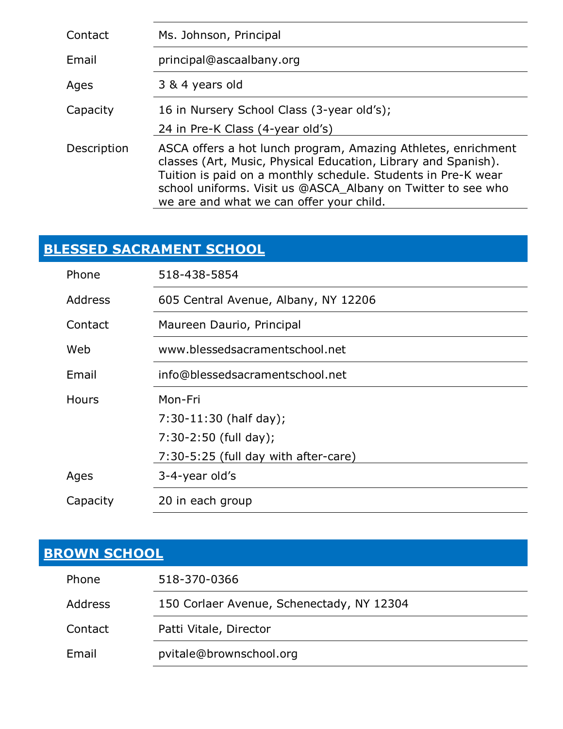| Contact     | Ms. Johnson, Principal                                                                                                                                                                                                                                                                                       |
|-------------|--------------------------------------------------------------------------------------------------------------------------------------------------------------------------------------------------------------------------------------------------------------------------------------------------------------|
| Email       | principal@ascaalbany.org                                                                                                                                                                                                                                                                                     |
| Ages        | 3 & 4 years old                                                                                                                                                                                                                                                                                              |
| Capacity    | 16 in Nursery School Class (3-year old's);                                                                                                                                                                                                                                                                   |
|             | 24 in Pre-K Class (4-year old's)                                                                                                                                                                                                                                                                             |
| Description | ASCA offers a hot lunch program, Amazing Athletes, enrichment<br>classes (Art, Music, Physical Education, Library and Spanish).<br>Tuition is paid on a monthly schedule. Students in Pre-K wear<br>school uniforms. Visit us @ASCA_Albany on Twitter to see who<br>we are and what we can offer your child. |

### **[BLESSED SACRAMENT SCHOOL](http://www.blessedsacramentschool.net/)**

| Phone        | 518-438-5854                         |
|--------------|--------------------------------------|
| Address      | 605 Central Avenue, Albany, NY 12206 |
| Contact      | Maureen Daurio, Principal            |
| Web          | www.blessedsacramentschool.net       |
| Email        | info@blessedsacramentschool.net      |
| <b>Hours</b> | Mon-Fri                              |
|              | $7:30-11:30$ (half day);             |
|              | $7:30-2:50$ (full day);              |
|              | 7:30-5:25 (full day with after-care) |
| Ages         | 3-4-year old's                       |
| Capacity     | 20 in each group                     |

### **[BROWN SCHOOL](http://brownschool.org/)**

| Phone          | 518-370-0366                              |
|----------------|-------------------------------------------|
| <b>Address</b> | 150 Corlaer Avenue, Schenectady, NY 12304 |
| Contact        | Patti Vitale, Director                    |
| Email          | pvitale@brownschool.org                   |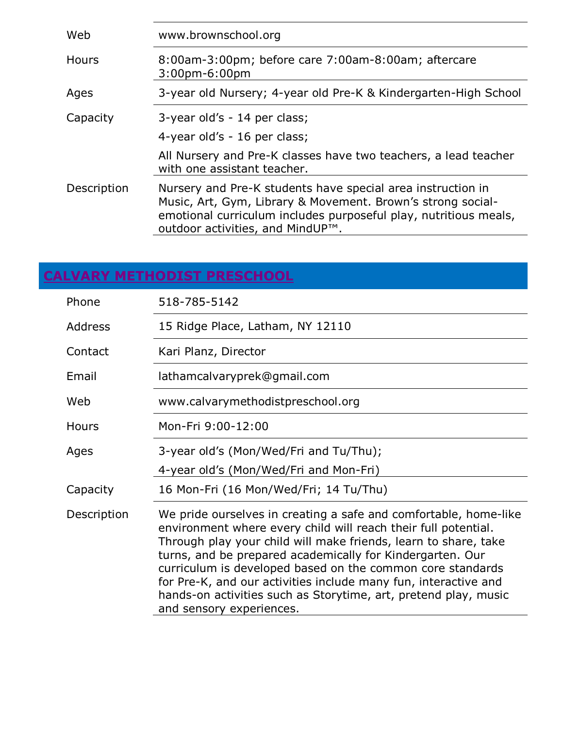| Web         | www.brownschool.org                                                                                                                                                                                                                |
|-------------|------------------------------------------------------------------------------------------------------------------------------------------------------------------------------------------------------------------------------------|
| Hours       | 8:00am-3:00pm; before care 7:00am-8:00am; aftercare<br>$3:00$ pm-6:00pm                                                                                                                                                            |
| Ages        | 3-year old Nursery; 4-year old Pre-K & Kindergarten-High School                                                                                                                                                                    |
| Capacity    | 3-year old's - 14 per class;<br>4-year old's - 16 per class;                                                                                                                                                                       |
|             | All Nursery and Pre-K classes have two teachers, a lead teacher<br>with one assistant teacher.                                                                                                                                     |
| Description | Nursery and Pre-K students have special area instruction in<br>Music, Art, Gym, Library & Movement. Brown's strong social-<br>emotional curriculum includes purposeful play, nutritious meals,<br>outdoor activities, and MindUP™. |

## **[CALVARY METHODIST PRESCHOOL](http://www.calvarymethodistpreschool.org/)**

| Phone          | 518-785-5142                                                                                                                                                                                                                                                                                                                                                                                                                                                                                       |
|----------------|----------------------------------------------------------------------------------------------------------------------------------------------------------------------------------------------------------------------------------------------------------------------------------------------------------------------------------------------------------------------------------------------------------------------------------------------------------------------------------------------------|
| <b>Address</b> | 15 Ridge Place, Latham, NY 12110                                                                                                                                                                                                                                                                                                                                                                                                                                                                   |
| Contact        | Kari Planz, Director                                                                                                                                                                                                                                                                                                                                                                                                                                                                               |
| Email          | lathamcalvaryprek@gmail.com                                                                                                                                                                                                                                                                                                                                                                                                                                                                        |
| Web            | www.calvarymethodistpreschool.org                                                                                                                                                                                                                                                                                                                                                                                                                                                                  |
| <b>Hours</b>   | Mon-Fri 9:00-12:00                                                                                                                                                                                                                                                                                                                                                                                                                                                                                 |
| Ages           | 3-year old's (Mon/Wed/Fri and Tu/Thu);                                                                                                                                                                                                                                                                                                                                                                                                                                                             |
|                | 4-year old's (Mon/Wed/Fri and Mon-Fri)                                                                                                                                                                                                                                                                                                                                                                                                                                                             |
| Capacity       | 16 Mon-Fri (16 Mon/Wed/Fri; 14 Tu/Thu)                                                                                                                                                                                                                                                                                                                                                                                                                                                             |
| Description    | We pride ourselves in creating a safe and comfortable, home-like<br>environment where every child will reach their full potential.<br>Through play your child will make friends, learn to share, take<br>turns, and be prepared academically for Kindergarten. Our<br>curriculum is developed based on the common core standards<br>for Pre-K, and our activities include many fun, interactive and<br>hands-on activities such as Storytime, art, pretend play, music<br>and sensory experiences. |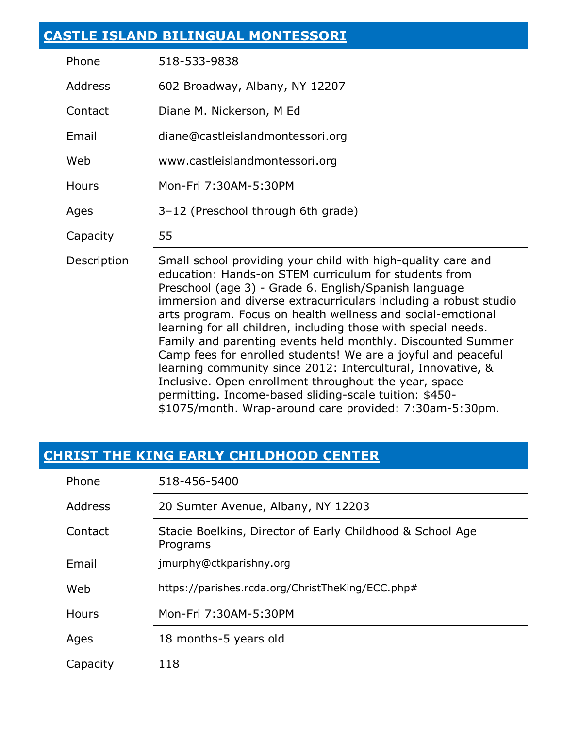### **[CASTLE ISLAND BILINGUAL MONTESSORI](https://www.castleislandmontessori.org/)**

| Phone          | 518-533-9838                                                                                                                                                                                                                                                                                                                                                                                                                                                                                                                                                                                                                                                                                                                                                     |
|----------------|------------------------------------------------------------------------------------------------------------------------------------------------------------------------------------------------------------------------------------------------------------------------------------------------------------------------------------------------------------------------------------------------------------------------------------------------------------------------------------------------------------------------------------------------------------------------------------------------------------------------------------------------------------------------------------------------------------------------------------------------------------------|
| <b>Address</b> | 602 Broadway, Albany, NY 12207                                                                                                                                                                                                                                                                                                                                                                                                                                                                                                                                                                                                                                                                                                                                   |
| Contact        | Diane M. Nickerson, M Ed                                                                                                                                                                                                                                                                                                                                                                                                                                                                                                                                                                                                                                                                                                                                         |
| Email          | diane@castleislandmontessori.org                                                                                                                                                                                                                                                                                                                                                                                                                                                                                                                                                                                                                                                                                                                                 |
| Web            | www.castleislandmontessori.org                                                                                                                                                                                                                                                                                                                                                                                                                                                                                                                                                                                                                                                                                                                                   |
| <b>Hours</b>   | Mon-Fri 7:30AM-5:30PM                                                                                                                                                                                                                                                                                                                                                                                                                                                                                                                                                                                                                                                                                                                                            |
| Ages           | 3-12 (Preschool through 6th grade)                                                                                                                                                                                                                                                                                                                                                                                                                                                                                                                                                                                                                                                                                                                               |
| Capacity       | 55                                                                                                                                                                                                                                                                                                                                                                                                                                                                                                                                                                                                                                                                                                                                                               |
| Description    | Small school providing your child with high-quality care and<br>education: Hands-on STEM curriculum for students from<br>Preschool (age 3) - Grade 6. English/Spanish language<br>immersion and diverse extracurriculars including a robust studio<br>arts program. Focus on health wellness and social-emotional<br>learning for all children, including those with special needs.<br>Family and parenting events held monthly. Discounted Summer<br>Camp fees for enrolled students! We are a joyful and peaceful<br>learning community since 2012: Intercultural, Innovative, &<br>Inclusive. Open enrollment throughout the year, space<br>permitting. Income-based sliding-scale tuition: \$450-<br>\$1075/month. Wrap-around care provided: 7:30am-5:30pm. |

### **[CHRIST THE KING EARLY CHILDHOOD CENTER](http://ctkparishny.org/)**

| Phone        | 518-456-5400                                                          |
|--------------|-----------------------------------------------------------------------|
| Address      | 20 Sumter Avenue, Albany, NY 12203                                    |
| Contact      | Stacie Boelkins, Director of Early Childhood & School Age<br>Programs |
| Email        | jmurphy@ctkparishny.org                                               |
| Web          | https://parishes.rcda.org/ChristTheKing/ECC.php#                      |
| <b>Hours</b> | Mon-Fri 7:30AM-5:30PM                                                 |
| Ages         | 18 months-5 years old                                                 |
| Capacity     | 118                                                                   |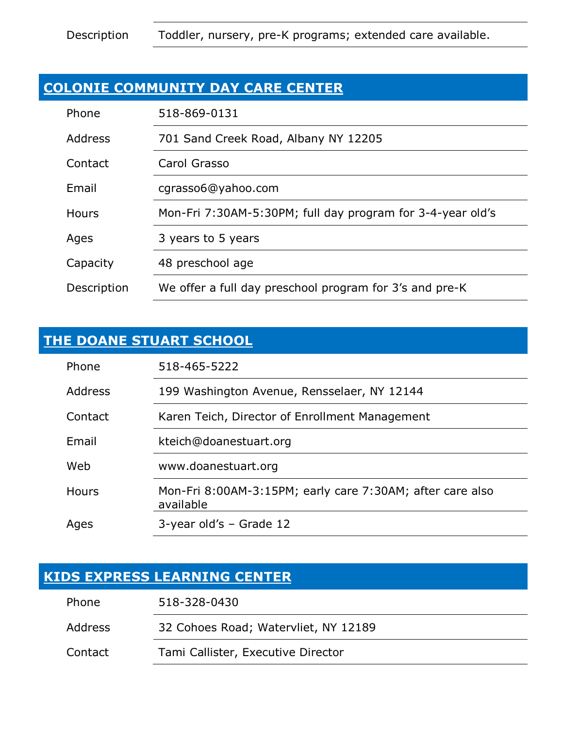#### **[COLONIE COMMUNITY DAY CARE CENTER](https://www.facebook.com/pages/category/Day-Care/Colonie-Community-Daycare-Center-126822984055567/)**

| Phone       | 518-869-0131                                               |
|-------------|------------------------------------------------------------|
| Address     | 701 Sand Creek Road, Albany NY 12205                       |
| Contact     | Carol Grasso                                               |
| Email       | cgrasso6@yahoo.com                                         |
| Hours       | Mon-Fri 7:30AM-5:30PM; full day program for 3-4-year old's |
| Ages        | 3 years to 5 years                                         |
| Capacity    | 48 preschool age                                           |
| Description | We offer a full day preschool program for 3's and pre-K    |

#### **[THE DOANE STUART SCHOOL](http://www.doanestuart.org/)**

| Phone   | 518-465-5222                                                           |
|---------|------------------------------------------------------------------------|
| Address | 199 Washington Avenue, Rensselaer, NY 12144                            |
| Contact | Karen Teich, Director of Enrollment Management                         |
| Email   | kteich@doanestuart.org                                                 |
| Web     | www.doanestuart.org                                                    |
| Hours   | Mon-Fri 8:00AM-3:15PM; early care 7:30AM; after care also<br>available |
| Ages    | $3$ -year old's – Grade 12                                             |

#### **[KIDS EXPRESS LEARNING CENTER](https://www.kidsexpress.org/)**

| Phone   | 518-328-0430                         |
|---------|--------------------------------------|
| Address | 32 Cohoes Road; Watervliet, NY 12189 |
| Contact | Tami Callister, Executive Director   |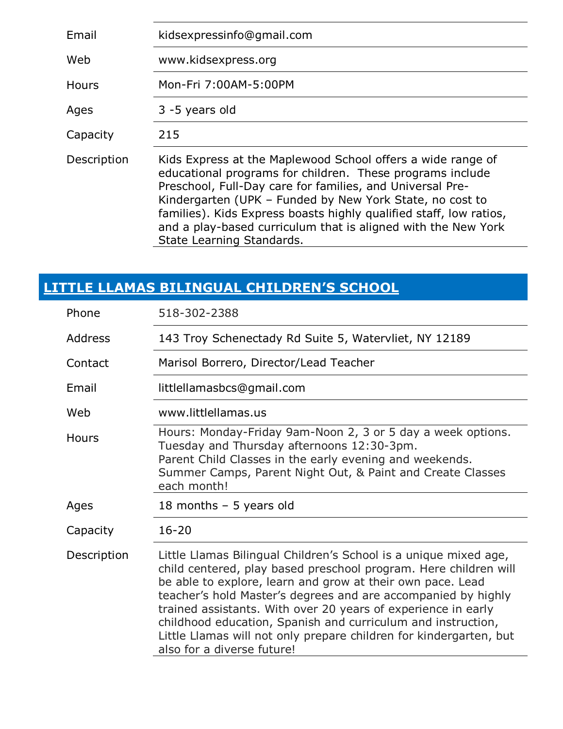| Email        | kidsexpressinfo@gmail.com                                                                                                                                                                                                                                                                                                                                                                                             |
|--------------|-----------------------------------------------------------------------------------------------------------------------------------------------------------------------------------------------------------------------------------------------------------------------------------------------------------------------------------------------------------------------------------------------------------------------|
| Web          | www.kidsexpress.org                                                                                                                                                                                                                                                                                                                                                                                                   |
| <b>Hours</b> | Mon-Fri 7:00AM-5:00PM                                                                                                                                                                                                                                                                                                                                                                                                 |
| Ages         | 3 -5 years old                                                                                                                                                                                                                                                                                                                                                                                                        |
| Capacity     | 215                                                                                                                                                                                                                                                                                                                                                                                                                   |
| Description  | Kids Express at the Maplewood School offers a wide range of<br>educational programs for children. These programs include<br>Preschool, Full-Day care for families, and Universal Pre-<br>Kindergarten (UPK - Funded by New York State, no cost to<br>families). Kids Express boasts highly qualified staff, low ratios,<br>and a play-based curriculum that is aligned with the New York<br>State Learning Standards. |

## **LITTLE [LLAMAS BILINGUAL CHILDREN'S SCHOOL](https://www.littlellamasbilingualchildrensschool.com/)**

| Phone       | 518-302-2388                                                                                                                                                                                                                                                                                                                                                                                                                                                                                             |
|-------------|----------------------------------------------------------------------------------------------------------------------------------------------------------------------------------------------------------------------------------------------------------------------------------------------------------------------------------------------------------------------------------------------------------------------------------------------------------------------------------------------------------|
| Address     | 143 Troy Schenectady Rd Suite 5, Watervliet, NY 12189                                                                                                                                                                                                                                                                                                                                                                                                                                                    |
| Contact     | Marisol Borrero, Director/Lead Teacher                                                                                                                                                                                                                                                                                                                                                                                                                                                                   |
| Email       | littlellamasbcs@gmail.com                                                                                                                                                                                                                                                                                                                                                                                                                                                                                |
| Web         | www.littlellamas.us                                                                                                                                                                                                                                                                                                                                                                                                                                                                                      |
| Hours       | Hours: Monday-Friday 9am-Noon 2, 3 or 5 day a week options.<br>Tuesday and Thursday afternoons 12:30-3pm.<br>Parent Child Classes in the early evening and weekends.<br>Summer Camps, Parent Night Out, & Paint and Create Classes<br>each month!                                                                                                                                                                                                                                                        |
| Ages        | 18 months $-5$ years old                                                                                                                                                                                                                                                                                                                                                                                                                                                                                 |
| Capacity    | $16 - 20$                                                                                                                                                                                                                                                                                                                                                                                                                                                                                                |
| Description | Little Llamas Bilingual Children's School is a unique mixed age,<br>child centered, play based preschool program. Here children will<br>be able to explore, learn and grow at their own pace. Lead<br>teacher's hold Master's degrees and are accompanied by highly<br>trained assistants. With over 20 years of experience in early<br>childhood education, Spanish and curriculum and instruction,<br>Little Llamas will not only prepare children for kindergarten, but<br>also for a diverse future! |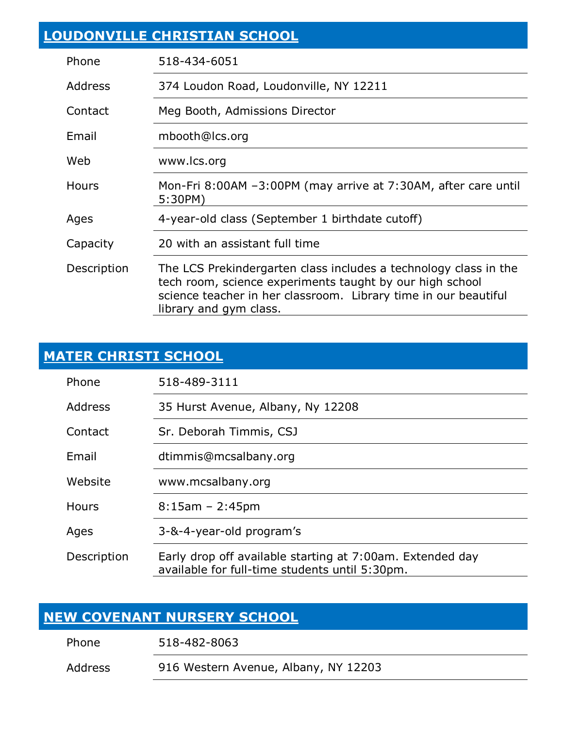| <b>LOUDONVILLE CHRISTIAN SCHOOL</b> |                                                                                                                                                                                                                           |
|-------------------------------------|---------------------------------------------------------------------------------------------------------------------------------------------------------------------------------------------------------------------------|
| Phone                               | 518-434-6051                                                                                                                                                                                                              |
| <b>Address</b>                      | 374 Loudon Road, Loudonville, NY 12211                                                                                                                                                                                    |
| Contact                             | Meg Booth, Admissions Director                                                                                                                                                                                            |
| Email                               | mbooth@lcs.org                                                                                                                                                                                                            |
| Web                                 | www.lcs.org                                                                                                                                                                                                               |
| <b>Hours</b>                        | Mon-Fri 8:00AM -3:00PM (may arrive at 7:30AM, after care until<br>5:30PM)                                                                                                                                                 |
| Ages                                | 4-year-old class (September 1 birthdate cutoff)                                                                                                                                                                           |
| Capacity                            | 20 with an assistant full time                                                                                                                                                                                            |
| Description                         | The LCS Prekindergarten class includes a technology class in the<br>tech room, science experiments taught by our high school<br>science teacher in her classroom. Library time in our beautiful<br>library and gym class. |

#### **MATER [CHRISTI SCHOOL](https://www.mcsalbany.org/)**

| Phone        | 518-489-3111                                                                                                |
|--------------|-------------------------------------------------------------------------------------------------------------|
| Address      | 35 Hurst Avenue, Albany, Ny 12208                                                                           |
| Contact      | Sr. Deborah Timmis, CSJ                                                                                     |
| Email        | dtimmis@mcsalbany.org                                                                                       |
| Website      | www.mcsalbany.org                                                                                           |
| <b>Hours</b> | $8:15$ am – 2:45pm                                                                                          |
| Ages         | 3-&-4-year-old program's                                                                                    |
| Description  | Early drop off available starting at 7:00am. Extended day<br>available for full-time students until 5:30pm. |

#### **[NEW COVENANT NURSERY SCHOOL](https://newcovenantnursery.wordpress.com/)**

Phone 518-482-8063

Address 916 Western Avenue, Albany, NY 12203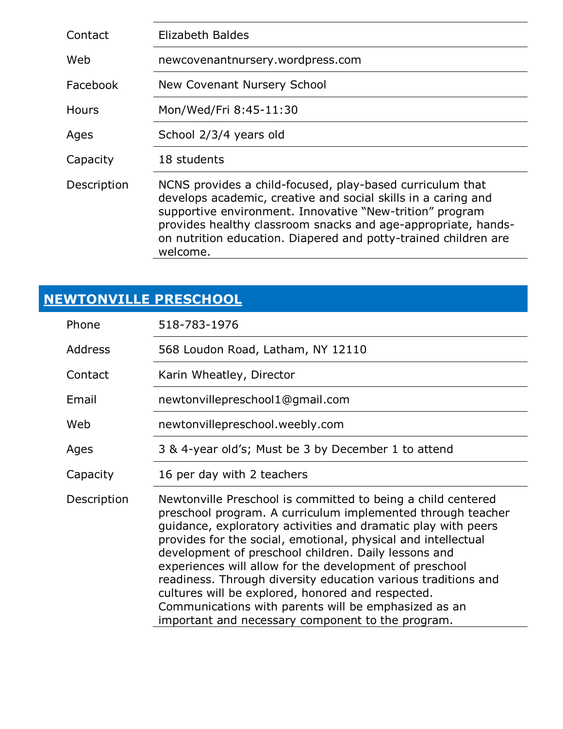| Contact     | Elizabeth Baldes                                                                                                                                                                                                                                                                                                                       |
|-------------|----------------------------------------------------------------------------------------------------------------------------------------------------------------------------------------------------------------------------------------------------------------------------------------------------------------------------------------|
| Web         | newcovenantnursery.wordpress.com                                                                                                                                                                                                                                                                                                       |
| Facebook    | New Covenant Nursery School                                                                                                                                                                                                                                                                                                            |
| Hours       | Mon/Wed/Fri 8:45-11:30                                                                                                                                                                                                                                                                                                                 |
| Ages        | School 2/3/4 years old                                                                                                                                                                                                                                                                                                                 |
| Capacity    | 18 students                                                                                                                                                                                                                                                                                                                            |
| Description | NCNS provides a child-focused, play-based curriculum that<br>develops academic, creative and social skills in a caring and<br>supportive environment. Innovative "New-trition" program<br>provides healthy classroom snacks and age-appropriate, hands-<br>on nutrition education. Diapered and potty-trained children are<br>welcome. |

### **[NEWTONVILLE PRESCHOOL](http://www.numc.net/)**

| Phone          | 518-783-1976                                                                                                                                                                                                                                                                                                                                                                                                                                                                                                                                                                                                        |
|----------------|---------------------------------------------------------------------------------------------------------------------------------------------------------------------------------------------------------------------------------------------------------------------------------------------------------------------------------------------------------------------------------------------------------------------------------------------------------------------------------------------------------------------------------------------------------------------------------------------------------------------|
| <b>Address</b> | 568 Loudon Road, Latham, NY 12110                                                                                                                                                                                                                                                                                                                                                                                                                                                                                                                                                                                   |
| Contact        | Karin Wheatley, Director                                                                                                                                                                                                                                                                                                                                                                                                                                                                                                                                                                                            |
| Email          | newtonvillepreschool1@gmail.com                                                                                                                                                                                                                                                                                                                                                                                                                                                                                                                                                                                     |
| Web            | newtonvillepreschool.weebly.com                                                                                                                                                                                                                                                                                                                                                                                                                                                                                                                                                                                     |
| Ages           | 3 & 4-year old's; Must be 3 by December 1 to attend                                                                                                                                                                                                                                                                                                                                                                                                                                                                                                                                                                 |
| Capacity       | 16 per day with 2 teachers                                                                                                                                                                                                                                                                                                                                                                                                                                                                                                                                                                                          |
| Description    | Newtonville Preschool is committed to being a child centered<br>preschool program. A curriculum implemented through teacher<br>guidance, exploratory activities and dramatic play with peers<br>provides for the social, emotional, physical and intellectual<br>development of preschool children. Daily lessons and<br>experiences will allow for the development of preschool<br>readiness. Through diversity education various traditions and<br>cultures will be explored, honored and respected.<br>Communications with parents will be emphasized as an<br>important and necessary component to the program. |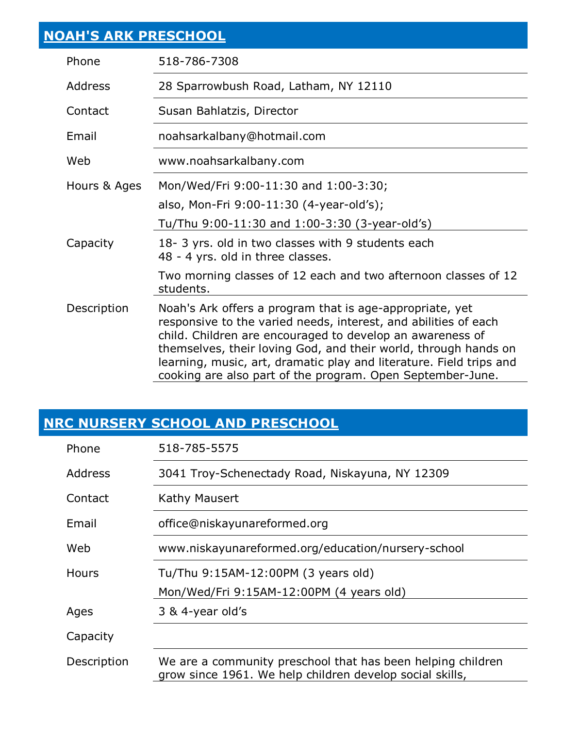| <b>NOAH'S ARK PRESCHOOL</b> |                                                                                                                                                                                                                                                                                                                                    |
|-----------------------------|------------------------------------------------------------------------------------------------------------------------------------------------------------------------------------------------------------------------------------------------------------------------------------------------------------------------------------|
| Phone                       | 518-786-7308                                                                                                                                                                                                                                                                                                                       |
| <b>Address</b>              | 28 Sparrowbush Road, Latham, NY 12110                                                                                                                                                                                                                                                                                              |
| Contact                     | Susan Bahlatzis, Director                                                                                                                                                                                                                                                                                                          |
| Email                       | noahsarkalbany@hotmail.com                                                                                                                                                                                                                                                                                                         |
| Web                         | www.noahsarkalbany.com                                                                                                                                                                                                                                                                                                             |
| Hours & Ages                | Mon/Wed/Fri 9:00-11:30 and 1:00-3:30;                                                                                                                                                                                                                                                                                              |
|                             | also, Mon-Fri 9:00-11:30 (4-year-old's);                                                                                                                                                                                                                                                                                           |
|                             | Tu/Thu 9:00-11:30 and 1:00-3:30 (3-year-old's)                                                                                                                                                                                                                                                                                     |
| Capacity                    | 18-3 yrs. old in two classes with 9 students each<br>48 - 4 yrs. old in three classes.                                                                                                                                                                                                                                             |
|                             | Two morning classes of 12 each and two afternoon classes of 12<br>students.                                                                                                                                                                                                                                                        |
| Description                 | Noah's Ark offers a program that is age-appropriate, yet<br>responsive to the varied needs, interest, and abilities of each<br>child. Children are encouraged to develop an awareness of<br>themselves, their loving God, and their world, through hands on<br>learning, music, art, dramatic play and literature. Field trips and |

### **[NRC NURSERY SCHOOL AND PRESCHOOL](https://www.niskayunareformed.org/education/nursery-school/)**

| Phone        | 518-785-5575                                                                                                            |
|--------------|-------------------------------------------------------------------------------------------------------------------------|
| Address      | 3041 Troy-Schenectady Road, Niskayuna, NY 12309                                                                         |
| Contact      | Kathy Mausert                                                                                                           |
| Email        | office@niskayunareformed.org                                                                                            |
| Web          | www.niskayunareformed.org/education/nursery-school                                                                      |
| <b>Hours</b> | Tu/Thu 9:15AM-12:00PM (3 years old)                                                                                     |
| Ages         | Mon/Wed/Fri 9:15AM-12:00PM (4 years old)<br>3 & 4-year old's                                                            |
| Capacity     |                                                                                                                         |
| Description  | We are a community preschool that has been helping children<br>grow since 1961. We help children develop social skills, |

cooking are also part of the program. Open September-June.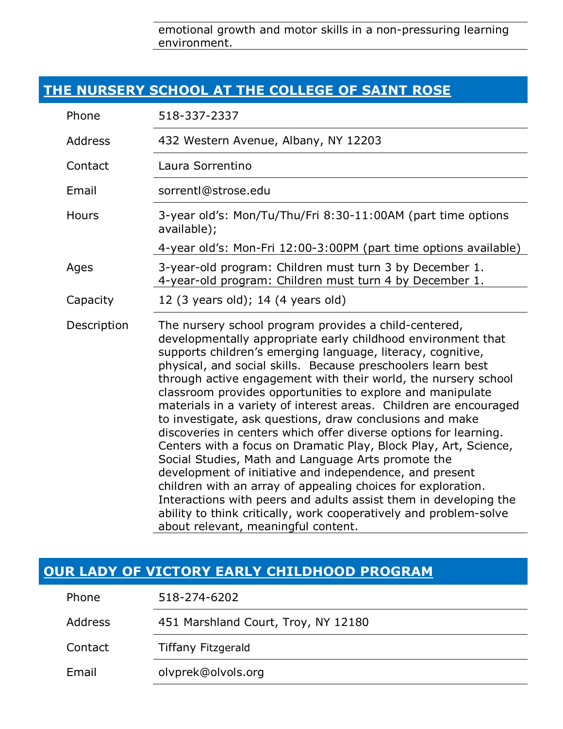emotional growth and motor skills in a non-pressuring learning environment.

#### **[THE NURSERY SCHOOL AT THE COLLEGE OF SAINT ROSE](https://www.strose.edu/campus-offices/nursery-school/)**

| Phone          | 518-337-2337                                                                                                                                                                                                                                                                                                                                                                                                                                                                                                                                                                                                                                                                                                                                                                                                                                                                                                                                                                                                                   |
|----------------|--------------------------------------------------------------------------------------------------------------------------------------------------------------------------------------------------------------------------------------------------------------------------------------------------------------------------------------------------------------------------------------------------------------------------------------------------------------------------------------------------------------------------------------------------------------------------------------------------------------------------------------------------------------------------------------------------------------------------------------------------------------------------------------------------------------------------------------------------------------------------------------------------------------------------------------------------------------------------------------------------------------------------------|
| <b>Address</b> | 432 Western Avenue, Albany, NY 12203                                                                                                                                                                                                                                                                                                                                                                                                                                                                                                                                                                                                                                                                                                                                                                                                                                                                                                                                                                                           |
| Contact        | Laura Sorrentino                                                                                                                                                                                                                                                                                                                                                                                                                                                                                                                                                                                                                                                                                                                                                                                                                                                                                                                                                                                                               |
| Email          | sorrentl@strose.edu                                                                                                                                                                                                                                                                                                                                                                                                                                                                                                                                                                                                                                                                                                                                                                                                                                                                                                                                                                                                            |
| Hours          | 3-year old's: Mon/Tu/Thu/Fri 8:30-11:00AM (part time options<br>available);                                                                                                                                                                                                                                                                                                                                                                                                                                                                                                                                                                                                                                                                                                                                                                                                                                                                                                                                                    |
|                | 4-year old's: Mon-Fri 12:00-3:00PM (part time options available)                                                                                                                                                                                                                                                                                                                                                                                                                                                                                                                                                                                                                                                                                                                                                                                                                                                                                                                                                               |
| Ages           | 3-year-old program: Children must turn 3 by December 1.<br>4-year-old program: Children must turn 4 by December 1.                                                                                                                                                                                                                                                                                                                                                                                                                                                                                                                                                                                                                                                                                                                                                                                                                                                                                                             |
| Capacity       | 12 (3 years old); 14 (4 years old)                                                                                                                                                                                                                                                                                                                                                                                                                                                                                                                                                                                                                                                                                                                                                                                                                                                                                                                                                                                             |
| Description    | The nursery school program provides a child-centered,<br>developmentally appropriate early childhood environment that<br>supports children's emerging language, literacy, cognitive,<br>physical, and social skills. Because preschoolers learn best<br>through active engagement with their world, the nursery school<br>classroom provides opportunities to explore and manipulate<br>materials in a variety of interest areas. Children are encouraged<br>to investigate, ask questions, draw conclusions and make<br>discoveries in centers which offer diverse options for learning.<br>Centers with a focus on Dramatic Play, Block Play, Art, Science,<br>Social Studies, Math and Language Arts promote the<br>development of initiative and independence, and present<br>children with an array of appealing choices for exploration.<br>Interactions with peers and adults assist them in developing the<br>ability to think critically, work cooperatively and problem-solve<br>about relevant, meaningful content. |

#### **[OUR LADY OF VICTORY EARLY CHILDHOOD PROGRAM](https://www.facebook.com/pages/category/Preschool/Our-Lady-of-Victory-Early-Childhood-113638090279198/)**

| Phone   | 518-274-6202                        |
|---------|-------------------------------------|
| Address | 451 Marshland Court, Troy, NY 12180 |
| Contact | <b>Tiffany Fitzgerald</b>           |
| Email   | olvprek@olvols.org                  |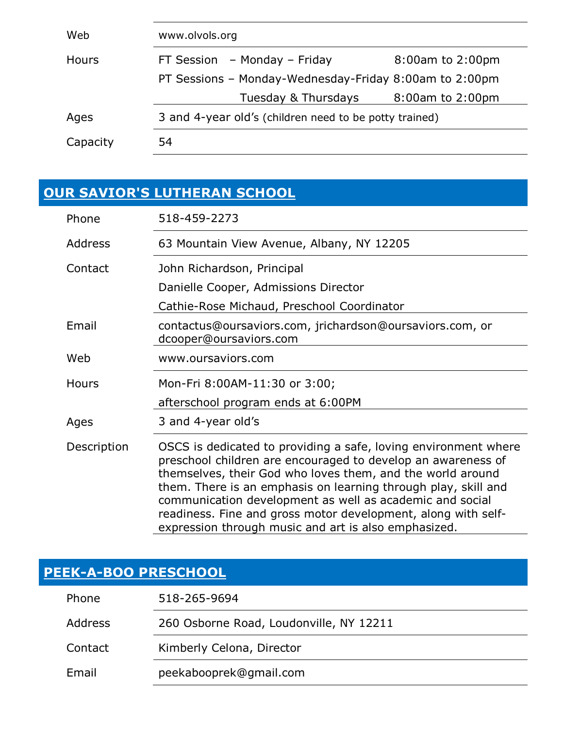| Web          | www.olvols.org                                         |                  |
|--------------|--------------------------------------------------------|------------------|
| <b>Hours</b> | FT Session $-$ Monday $-$ Friday                       | 8:00am to 2:00pm |
|              | PT Sessions - Monday-Wednesday-Friday 8:00am to 2:00pm |                  |
|              | Tuesday & Thursdays                                    | 8:00am to 2:00pm |
| Ages         | 3 and 4-year old's (children need to be potty trained) |                  |
| Capacity     | 54                                                     |                  |

### **[OUR SAVIOR'S LUTHERAN](https://www.oursaviors.com/) SCHOOL**

| Phone          | 518-459-2273                                                                                                                                                                                                                                                                                                                                                                                                                                         |
|----------------|------------------------------------------------------------------------------------------------------------------------------------------------------------------------------------------------------------------------------------------------------------------------------------------------------------------------------------------------------------------------------------------------------------------------------------------------------|
| <b>Address</b> | 63 Mountain View Avenue, Albany, NY 12205                                                                                                                                                                                                                                                                                                                                                                                                            |
| Contact        | John Richardson, Principal                                                                                                                                                                                                                                                                                                                                                                                                                           |
|                | Danielle Cooper, Admissions Director                                                                                                                                                                                                                                                                                                                                                                                                                 |
|                | Cathie-Rose Michaud, Preschool Coordinator                                                                                                                                                                                                                                                                                                                                                                                                           |
| Email          | contactus@oursaviors.com, jrichardson@oursaviors.com, or<br>dcooper@oursaviors.com                                                                                                                                                                                                                                                                                                                                                                   |
| Web            | www.oursaviors.com                                                                                                                                                                                                                                                                                                                                                                                                                                   |
| Hours          | Mon-Fri 8:00AM-11:30 or 3:00;                                                                                                                                                                                                                                                                                                                                                                                                                        |
|                | afterschool program ends at 6:00PM                                                                                                                                                                                                                                                                                                                                                                                                                   |
| Ages           | 3 and 4-year old's                                                                                                                                                                                                                                                                                                                                                                                                                                   |
| Description    | OSCS is dedicated to providing a safe, loving environment where<br>preschool children are encouraged to develop an awareness of<br>themselves, their God who loves them, and the world around<br>them. There is an emphasis on learning through play, skill and<br>communication development as well as academic and social<br>readiness. Fine and gross motor development, along with self-<br>expression through music and art is also emphasized. |

### **[PEEK-A-BOO PRESCHOOL](http://peek-a-boo-preschool.business.site/)**

| Phone   | 518-265-9694                            |
|---------|-----------------------------------------|
| Address | 260 Osborne Road, Loudonville, NY 12211 |
| Contact | Kimberly Celona, Director               |
| Email   | peekabooprek@gmail.com                  |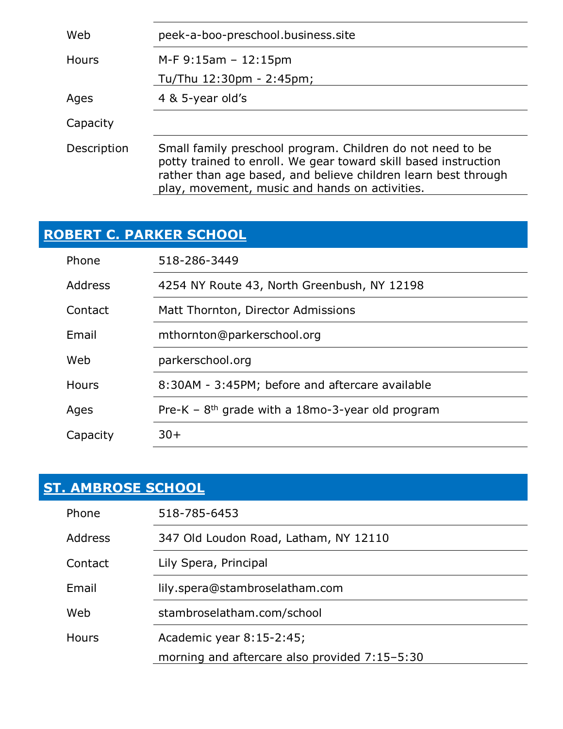| Web          | peek-a-boo-preschool.business.site                                                                                                                                                                                                                |
|--------------|---------------------------------------------------------------------------------------------------------------------------------------------------------------------------------------------------------------------------------------------------|
| <b>Hours</b> | $M-F 9:15am - 12:15pm$<br>Tu/Thu 12:30pm - 2:45pm;                                                                                                                                                                                                |
|              |                                                                                                                                                                                                                                                   |
| Ages         | 4 & 5-year old's                                                                                                                                                                                                                                  |
| Capacity     |                                                                                                                                                                                                                                                   |
| Description  | Small family preschool program. Children do not need to be<br>potty trained to enroll. We gear toward skill based instruction<br>rather than age based, and believe children learn best through<br>play, movement, music and hands on activities. |

### **[ROBERT C. PARKER SCHOOL](http://www.parkerschool.org/)**

| Phone        | 518-286-3449                                       |
|--------------|----------------------------------------------------|
| Address      | 4254 NY Route 43, North Greenbush, NY 12198        |
| Contact      | Matt Thornton, Director Admissions                 |
| Email        | mthornton@parkerschool.org                         |
| Web          | parkerschool.org                                   |
| <b>Hours</b> | 8:30AM - 3:45PM; before and aftercare available    |
| Ages         | Pre-K – $8th$ grade with a 18mo-3-year old program |
| Capacity     | $30+$                                              |

## **[ST. AMBROSE SCHOOL](https://www.stambroselatham.com/school)**

| Phone          | 518-785-6453                                  |
|----------------|-----------------------------------------------|
| <b>Address</b> | 347 Old Loudon Road, Latham, NY 12110         |
| Contact        | Lily Spera, Principal                         |
| Email          | lily.spera@stambroselatham.com                |
| Web            | stambroselatham.com/school                    |
| <b>Hours</b>   | Academic year 8:15-2:45;                      |
|                | morning and aftercare also provided 7:15-5:30 |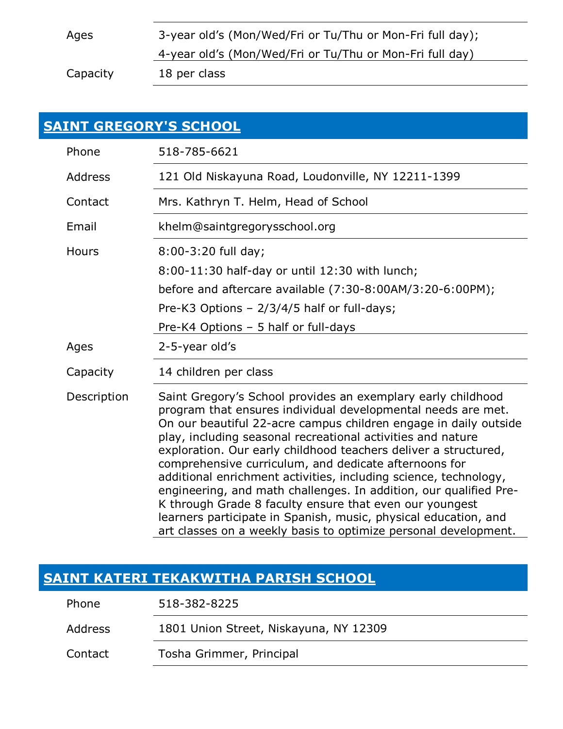Ages 3-year old's (Mon/Wed/Fri or Tu/Thu or Mon-Fri full day); 4-year old's (Mon/Wed/Fri or Tu/Thu or Mon-Fri full day) Capacity 18 per class

| <b>SAINT GREGORY'S SCHOOL</b> |                                                                                                                                                                                                                                                                                                                                                                                                                                                                                                                                                                                                                                                                                                                                       |
|-------------------------------|---------------------------------------------------------------------------------------------------------------------------------------------------------------------------------------------------------------------------------------------------------------------------------------------------------------------------------------------------------------------------------------------------------------------------------------------------------------------------------------------------------------------------------------------------------------------------------------------------------------------------------------------------------------------------------------------------------------------------------------|
| Phone                         | 518-785-6621                                                                                                                                                                                                                                                                                                                                                                                                                                                                                                                                                                                                                                                                                                                          |
| <b>Address</b>                | 121 Old Niskayuna Road, Loudonville, NY 12211-1399                                                                                                                                                                                                                                                                                                                                                                                                                                                                                                                                                                                                                                                                                    |
| Contact                       | Mrs. Kathryn T. Helm, Head of School                                                                                                                                                                                                                                                                                                                                                                                                                                                                                                                                                                                                                                                                                                  |
| Email                         | khelm@saintgregorysschool.org                                                                                                                                                                                                                                                                                                                                                                                                                                                                                                                                                                                                                                                                                                         |
| <b>Hours</b>                  | 8:00-3:20 full day;                                                                                                                                                                                                                                                                                                                                                                                                                                                                                                                                                                                                                                                                                                                   |
|                               | 8:00-11:30 half-day or until 12:30 with lunch;                                                                                                                                                                                                                                                                                                                                                                                                                                                                                                                                                                                                                                                                                        |
|                               | before and aftercare available (7:30-8:00AM/3:20-6:00PM);                                                                                                                                                                                                                                                                                                                                                                                                                                                                                                                                                                                                                                                                             |
|                               | Pre-K3 Options - 2/3/4/5 half or full-days;                                                                                                                                                                                                                                                                                                                                                                                                                                                                                                                                                                                                                                                                                           |
|                               | Pre-K4 Options - 5 half or full-days                                                                                                                                                                                                                                                                                                                                                                                                                                                                                                                                                                                                                                                                                                  |
| Ages                          | 2-5-year old's                                                                                                                                                                                                                                                                                                                                                                                                                                                                                                                                                                                                                                                                                                                        |
| Capacity                      | 14 children per class                                                                                                                                                                                                                                                                                                                                                                                                                                                                                                                                                                                                                                                                                                                 |
| Description                   | Saint Gregory's School provides an exemplary early childhood<br>program that ensures individual developmental needs are met.<br>On our beautiful 22-acre campus children engage in daily outside<br>play, including seasonal recreational activities and nature<br>exploration. Our early childhood teachers deliver a structured,<br>comprehensive curriculum, and dedicate afternoons for<br>additional enrichment activities, including science, technology,<br>engineering, and math challenges. In addition, our qualified Pre-<br>K through Grade 8 faculty ensure that even our youngest<br>learners participate in Spanish, music, physical education, and<br>art classes on a weekly basis to optimize personal development. |

#### **[SAINT KATERI TEKAKWITHA PARISH SCHOOL](http://www.stkateriparish.org/)**

| Phone   | 518-382-8225                           |
|---------|----------------------------------------|
| Address | 1801 Union Street, Niskayuna, NY 12309 |
| Contact | Tosha Grimmer, Principal               |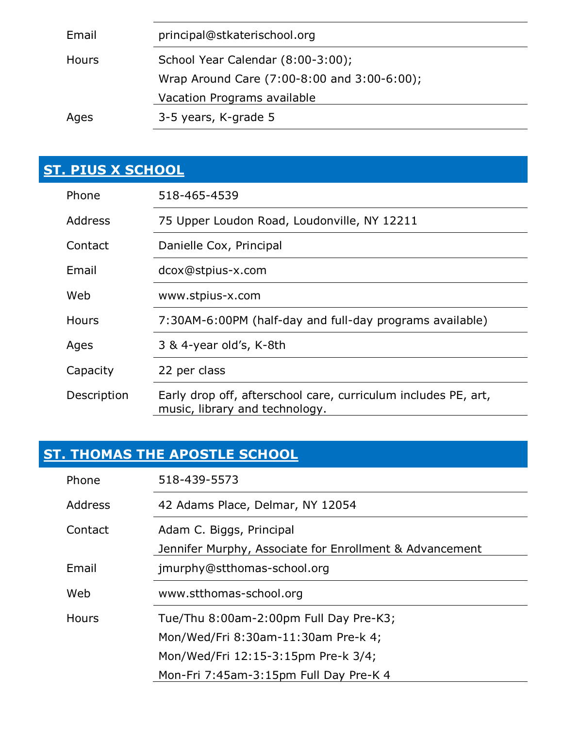| Email | principal@stkaterischool.org                |
|-------|---------------------------------------------|
| Hours | School Year Calendar (8:00-3:00);           |
|       | Wrap Around Care (7:00-8:00 and 3:00-6:00); |
|       | Vacation Programs available                 |
| Ages  | 3-5 years, K-grade 5                        |

### **[ST. PIUS X SCHOOL](http://www.stpius-x.com/)**

| Phone        | 518-465-4539                                                                                     |
|--------------|--------------------------------------------------------------------------------------------------|
| Address      | 75 Upper Loudon Road, Loudonville, NY 12211                                                      |
| Contact      | Danielle Cox, Principal                                                                          |
| Email        | dcox@stpius-x.com                                                                                |
| Web          | www.stpius-x.com                                                                                 |
| <b>Hours</b> | 7:30AM-6:00PM (half-day and full-day programs available)                                         |
| Ages         | 3 & 4-year old's, K-8th                                                                          |
| Capacity     | 22 per class                                                                                     |
| Description  | Early drop off, afterschool care, curriculum includes PE, art,<br>music, library and technology. |

### **[ST. THOMAS THE APOSTLE SCHOOL](http://www.stthomas-school.org/)**

| Phone          | 518-439-5573                                            |
|----------------|---------------------------------------------------------|
| <b>Address</b> | 42 Adams Place, Delmar, NY 12054                        |
| Contact        | Adam C. Biggs, Principal                                |
|                | Jennifer Murphy, Associate for Enrollment & Advancement |
| Email          | jmurphy@stthomas-school.org                             |
| Web            | www.stthomas-school.org                                 |
| <b>Hours</b>   | Tue/Thu 8:00am-2:00pm Full Day Pre-K3;                  |
|                | Mon/Wed/Fri 8:30am-11:30am Pre-k 4;                     |
|                | Mon/Wed/Fri 12:15-3:15pm Pre-k 3/4;                     |
|                | Mon-Fri 7:45am-3:15pm Full Day Pre-K 4                  |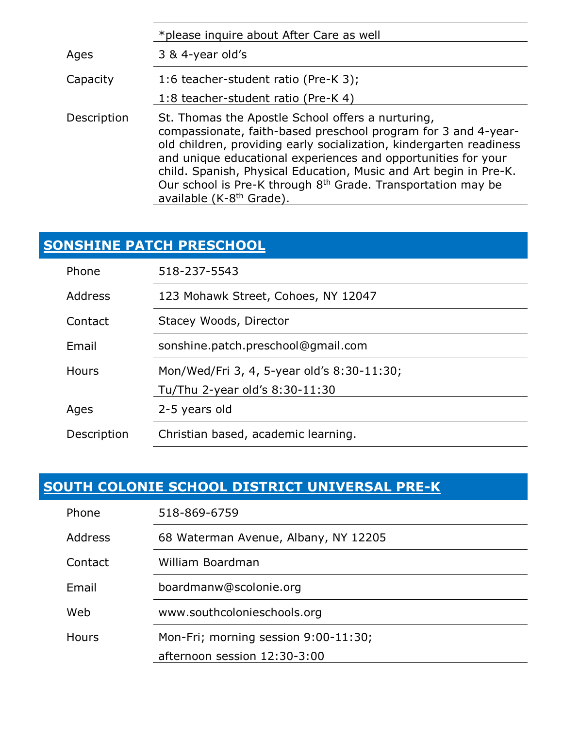|             | *please inquire about After Care as well                                                                                                                                                                                                                                                                                                                                                                                                             |
|-------------|------------------------------------------------------------------------------------------------------------------------------------------------------------------------------------------------------------------------------------------------------------------------------------------------------------------------------------------------------------------------------------------------------------------------------------------------------|
| Ages        | 3 & 4-year old's                                                                                                                                                                                                                                                                                                                                                                                                                                     |
| Capacity    | 1:6 teacher-student ratio (Pre-K 3);                                                                                                                                                                                                                                                                                                                                                                                                                 |
|             | 1:8 teacher-student ratio (Pre-K 4)                                                                                                                                                                                                                                                                                                                                                                                                                  |
| Description | St. Thomas the Apostle School offers a nurturing,<br>compassionate, faith-based preschool program for 3 and 4-year-<br>old children, providing early socialization, kindergarten readiness<br>and unique educational experiences and opportunities for your<br>child. Spanish, Physical Education, Music and Art begin in Pre-K.<br>Our school is Pre-K through 8 <sup>th</sup> Grade. Transportation may be<br>available (K-8 <sup>th</sup> Grade). |

### **[SONSHINE PATCH PRESCHOOL](https://www.facebook.com/pages/Sonshine-Patch-Pre-School/201474922811)**

| Phone        | 518-237-5543                               |
|--------------|--------------------------------------------|
| Address      | 123 Mohawk Street, Cohoes, NY 12047        |
| Contact      | Stacey Woods, Director                     |
| Email        | sonshine.patch.preschool@gmail.com         |
| <b>Hours</b> | Mon/Wed/Fri 3, 4, 5-year old's 8:30-11:30; |
|              | Tu/Thu 2-year old's 8:30-11:30             |
| Ages         | 2-5 years old                              |
| Description  | Christian based, academic learning.        |

#### **[SOUTH COLONIE SCHOOL DISTRICT UNIVERSAL PRE-K](https://www.southcolonieschools.org/)**

| Phone        | 518-869-6759                         |
|--------------|--------------------------------------|
| Address      | 68 Waterman Avenue, Albany, NY 12205 |
| Contact      | William Boardman                     |
| Email        | boardmanw@scolonie.org               |
| Web          | www.southcolonieschools.org          |
| <b>Hours</b> | Mon-Fri; morning session 9:00-11:30; |
|              | afternoon session 12:30-3:00         |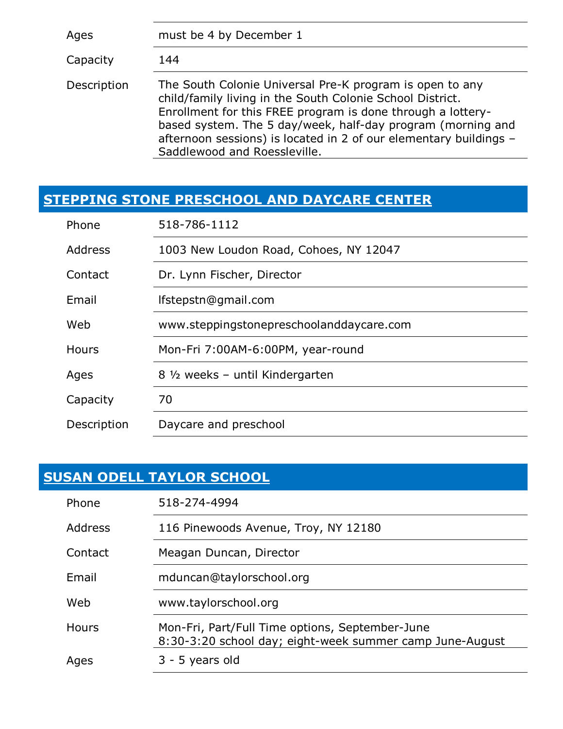| Ages        | must be 4 by December 1                                                                                                                                                                                                                                                                                                                                  |
|-------------|----------------------------------------------------------------------------------------------------------------------------------------------------------------------------------------------------------------------------------------------------------------------------------------------------------------------------------------------------------|
| Capacity    | 144                                                                                                                                                                                                                                                                                                                                                      |
| Description | The South Colonie Universal Pre-K program is open to any<br>child/family living in the South Colonie School District.<br>Enrollment for this FREE program is done through a lottery-<br>based system. The 5 day/week, half-day program (morning and<br>afternoon sessions) is located in 2 of our elementary buildings -<br>Saddlewood and Roessleville. |

#### **[STEPPING STONE PRESCHOOL AND DAYCARE CENTER](http://www.steppingstonepreschoolanddaycare.com/)**

| Phone       | 518-786-1112                             |
|-------------|------------------------------------------|
| Address     | 1003 New Loudon Road, Cohoes, NY 12047   |
| Contact     | Dr. Lynn Fischer, Director               |
| Email       | lfstepstn@gmail.com                      |
| Web         | www.steppingstonepreschoolanddaycare.com |
| Hours       | Mon-Fri 7:00AM-6:00PM, year-round        |
| Ages        | 8 1/2 weeks - until Kindergarten         |
| Capacity    | 70                                       |
| Description | Daycare and preschool                    |

### **[SUSAN ODELL TAYLOR SCHOOL](http://taylorschool.org/)**

| Phone        | 518-274-4994                                                                                                |
|--------------|-------------------------------------------------------------------------------------------------------------|
| Address      | 116 Pinewoods Avenue, Troy, NY 12180                                                                        |
| Contact      | Meagan Duncan, Director                                                                                     |
| Email        | mduncan@taylorschool.org                                                                                    |
| Web          | www.taylorschool.org                                                                                        |
| <b>Hours</b> | Mon-Fri, Part/Full Time options, September-June<br>8:30-3:20 school day; eight-week summer camp June-August |
| Ages         | 3 - 5 years old                                                                                             |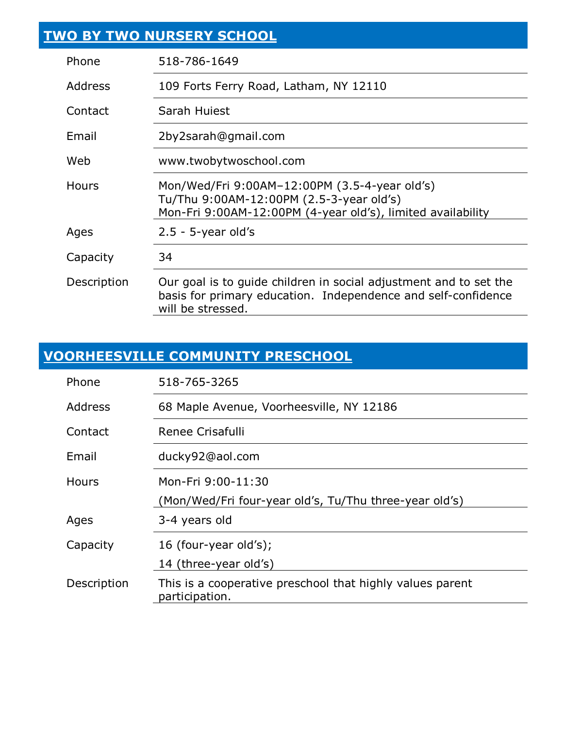|                | TWO BY TWO NURSERY SCHOOL                                                                                                                                |
|----------------|----------------------------------------------------------------------------------------------------------------------------------------------------------|
| Phone          | 518-786-1649                                                                                                                                             |
| <b>Address</b> | 109 Forts Ferry Road, Latham, NY 12110                                                                                                                   |
| Contact        | Sarah Huiest                                                                                                                                             |
| Email          | 2by2sarah@gmail.com                                                                                                                                      |
| Web            | www.twobytwoschool.com                                                                                                                                   |
| <b>Hours</b>   | Mon/Wed/Fri 9:00AM-12:00PM (3.5-4-year old's)<br>Tu/Thu 9:00AM-12:00PM (2.5-3-year old's)<br>Mon-Fri 9:00AM-12:00PM (4-year old's), limited availability |
| Ages           | $2.5 - 5$ -year old's                                                                                                                                    |
| Capacity       | 34                                                                                                                                                       |
| Description    | Our goal is to guide children in social adjustment and to set the<br>basis for primary education. Independence and self-confidence<br>will be stressed.  |

# **[VOORHEESVILLE COMMUNITY PRESCHOOL](https://www.facebook.com/pages/category/Preschool/Voorheesville-Community-Preschool-223053364402400/)**

| Phone        | 518-765-3265                                                                 |
|--------------|------------------------------------------------------------------------------|
| Address      | 68 Maple Avenue, Voorheesville, NY 12186                                     |
| Contact      | Renee Crisafulli                                                             |
| Email        | ducky92@aol.com                                                              |
| <b>Hours</b> | Mon-Fri 9:00-11:30<br>(Mon/Wed/Fri four-year old's, Tu/Thu three-year old's) |
| Ages         | 3-4 years old                                                                |
| Capacity     | 16 (four-year old's);<br>14 (three-year old's)                               |
| Description  | This is a cooperative preschool that highly values parent<br>participation.  |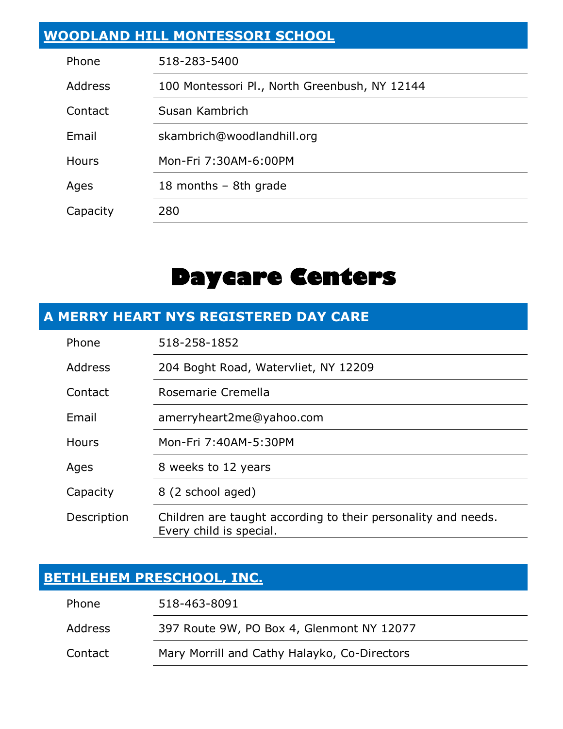#### **[WOODLAND HILL MONTESSORI SCHOOL](http://www.woodlandhill.org/)**

| Phone          | 518-283-5400                                  |
|----------------|-----------------------------------------------|
| <b>Address</b> | 100 Montessori Pl., North Greenbush, NY 12144 |
| Contact        | Susan Kambrich                                |
| Email          | skambrich@woodlandhill.org                    |
| <b>Hours</b>   | Mon-Fri 7:30AM-6:00PM                         |
| Ages           | 18 months - 8th grade                         |
| Capacity       | 280                                           |

## **Daycare Centers**

#### **A MERRY HEART NYS REGISTERED DAY CARE**

| Phone        | 518-258-1852                                                                             |
|--------------|------------------------------------------------------------------------------------------|
| Address      | 204 Boght Road, Watervliet, NY 12209                                                     |
| Contact      | Rosemarie Cremella                                                                       |
| Email        | amerryheart2me@yahoo.com                                                                 |
| <b>Hours</b> | Mon-Fri 7:40AM-5:30PM                                                                    |
| Ages         | 8 weeks to 12 years                                                                      |
| Capacity     | 8 (2 school aged)                                                                        |
| Description  | Children are taught according to their personality and needs.<br>Every child is special. |

#### **[BETHLEHEM PRESCHOOL, INC.](http://www.bethlehempreschool.com/)**

| Phone   | 518-463-8091                                 |
|---------|----------------------------------------------|
| Address | 397 Route 9W, PO Box 4, Glenmont NY 12077    |
| Contact | Mary Morrill and Cathy Halayko, Co-Directors |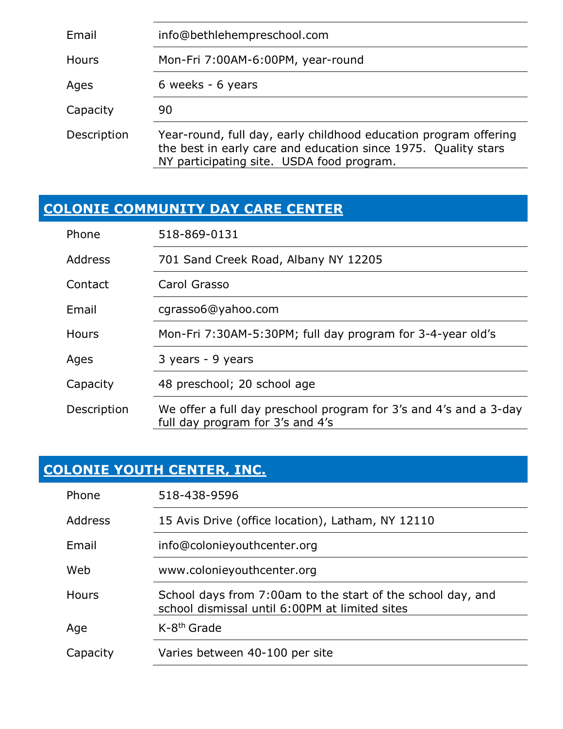| Email       | info@bethlehempreschool.com                                                                                                                                                     |
|-------------|---------------------------------------------------------------------------------------------------------------------------------------------------------------------------------|
| Hours       | Mon-Fri 7:00AM-6:00PM, year-round                                                                                                                                               |
| Ages        | 6 weeks - 6 years                                                                                                                                                               |
| Capacity    | 90                                                                                                                                                                              |
| Description | Year-round, full day, early childhood education program offering<br>the best in early care and education since 1975. Quality stars<br>NY participating site. USDA food program. |

## **[COLONIE COMMUNITY DAY CARE CENTER](https://www.facebook.com/pages/category/Day-Care/Colonie-Community-Daycare-Center-126822984055567/)**

| Phone          | 518-869-0131                                                                                          |
|----------------|-------------------------------------------------------------------------------------------------------|
| <b>Address</b> | 701 Sand Creek Road, Albany NY 12205                                                                  |
| Contact        | Carol Grasso                                                                                          |
| Email          | cgrasso6@yahoo.com                                                                                    |
| Hours          | Mon-Fri 7:30AM-5:30PM; full day program for 3-4-year old's                                            |
| Ages           | 3 years - 9 years                                                                                     |
| Capacity       | 48 preschool; 20 school age                                                                           |
| Description    | We offer a full day preschool program for 3's and 4's and a 3-day<br>full day program for 3's and 4's |

## **[COLONIE YOUTH CENTER, INC.](https://www.colonieyouthcenter.org/)**

| Phone    | 518-438-9596                                                                                                  |
|----------|---------------------------------------------------------------------------------------------------------------|
| Address  | 15 Avis Drive (office location), Latham, NY 12110                                                             |
| Email    | info@colonieyouthcenter.org                                                                                   |
| Web      | www.colonieyouthcenter.org                                                                                    |
| Hours    | School days from 7:00am to the start of the school day, and<br>school dismissal until 6:00PM at limited sites |
| Age      | $K-8th$ Grade                                                                                                 |
| Capacity | Varies between 40-100 per site                                                                                |